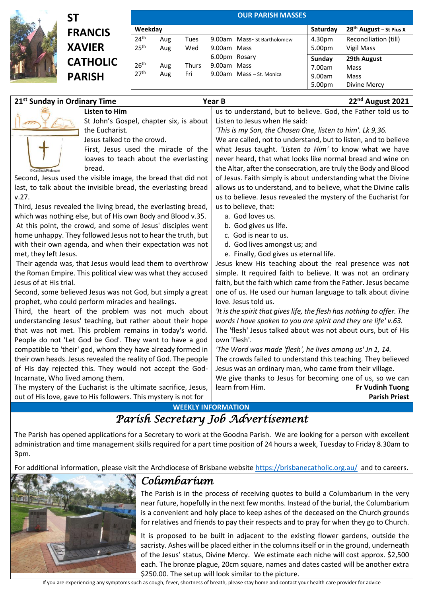

## **ST FRANCIS XAVIER CATHOLIC PARISH**

| <b>OUR PARISH MASSES</b> |     |              |               |                            |          |                           |  |
|--------------------------|-----|--------------|---------------|----------------------------|----------|---------------------------|--|
| Weekday                  |     |              |               |                            | Saturday | $28th$ August – St Pius X |  |
| 24 <sup>th</sup>         | Aug | Tues         |               | 9.00am Mass-St Bartholomew | 4.30pm   | Reconciliation (till)     |  |
| 25 <sup>th</sup>         | Aug | Wed          | 9.00am Mass   |                            | 5.00pm   | Vigil Mass                |  |
|                          |     |              | 6.00pm Rosary |                            | Sunday   | 29th August               |  |
| 26 <sup>th</sup>         | Aug | <b>Thurs</b> | 9.00am Mass   |                            | 7.00am   | Mass                      |  |
| 27 <sup>th</sup>         | Aug | Fri          |               | 9.00am Mass - St. Monica   | 9.00am   | Mass                      |  |
|                          |     |              |               |                            | 5.00pm   | Divine Mercy              |  |

| 21 <sup>st</sup> Sunday in Ordinary Time |                                                                 | 22 <sup>nd</sup> August 2021<br>Year B                                 |  |
|------------------------------------------|-----------------------------------------------------------------|------------------------------------------------------------------------|--|
|                                          | <b>Listen to Him</b>                                            | us to understand, but to believe. God, the Father told us to           |  |
|                                          | St John's Gospel, chapter six, is about                         | Listen to Jesus when He said:                                          |  |
|                                          | the Eucharist.                                                  | 'This is my Son, the Chosen One, listen to him'. Lk 9,36.              |  |
|                                          | Jesus talked to the crowd.                                      | We are called, not to understand, but to listen, and to believe        |  |
|                                          | First, Jesus used the miracle of the                            | what Jesus taught. 'Listen to Him' to know what we have                |  |
|                                          | loaves to teach about the everlasting                           | never heard, that what looks like normal bread and wine on             |  |
| CanStockPhoto.com                        | bread.                                                          | the Altar, after the consecration, are truly the Body and Blood        |  |
|                                          | Second, Jesus used the visible image, the bread that did not    | of Jesus. Faith simply is about understanding what the Divine          |  |
|                                          | last, to talk about the invisible bread, the everlasting bread  | allows us to understand, and to believe, what the Divine calls         |  |
| v.27.                                    |                                                                 | us to believe. Jesus revealed the mystery of the Eucharist for         |  |
|                                          | Third, Jesus revealed the living bread, the everlasting bread,  | us to believe, that:                                                   |  |
|                                          | which was nothing else, but of His own Body and Blood v.35.     | a. God loves us.                                                       |  |
|                                          | At this point, the crowd, and some of Jesus' disciples went     | b. God gives us life.                                                  |  |
|                                          | home unhappy. They followed Jesus not to hear the truth, but    | c. God is near to us.                                                  |  |
|                                          | with their own agenda, and when their expectation was not       | d. God lives amongst us; and                                           |  |
| met, they left Jesus.                    |                                                                 | e. Finally, God gives us eternal life.                                 |  |
|                                          | Their agenda was, that Jesus would lead them to overthrow       | Jesus knew His teaching about the real presence was not                |  |
|                                          | the Roman Empire. This political view was what they accused     | simple. It required faith to believe. It was not an ordinary           |  |
| Jesus of at His trial.                   |                                                                 | faith, but the faith which came from the Father. Jesus became          |  |
|                                          | Second, some believed Jesus was not God, but simply a great     | one of us. He used our human language to talk about divine             |  |
|                                          | prophet, who could perform miracles and healings.               | love. Jesus told us.                                                   |  |
|                                          | Third, the heart of the problem was not much about              | 'It is the spirit that gives life, the flesh has nothing to offer. The |  |
|                                          | understanding Jesus' teaching, but rather about their hope      | words I have spoken to you are spirit and they are life' v.63.         |  |
|                                          | that was not met. This problem remains in today's world.        | The 'flesh' Jesus talked about was not about ours, but of His          |  |
|                                          | People do not 'Let God be God'. They want to have a god         | own 'flesh'.                                                           |  |
|                                          | compatible to 'their' god, whom they have already formed in     | 'The Word was made 'flesh', he lives among us' Jn 1, 14.               |  |
|                                          | their own heads. Jesus revealed the reality of God. The people  | The crowds failed to understand this teaching. They believed           |  |
|                                          | of His day rejected this. They would not accept the God-        | Jesus was an ordinary man, who came from their village.                |  |
| Incarnate, Who lived among them.         |                                                                 | We give thanks to Jesus for becoming one of us, so we can              |  |
|                                          | The mystery of the Eucharist is the ultimate sacrifice, Jesus,  | learn from Him.<br><b>Fr Vudinh Tuong</b>                              |  |
|                                          | out of His love, gave to His followers. This mystery is not for | <b>Parish Priest</b>                                                   |  |

**WEEKLY INFORMATION**

## *Parish Secretary Job Advertisement*

The Parish has opened applications for a Secretary to work at the Goodna Parish. We are looking for a person with excellent administration and time management skills required for a part time position of 24 hours a week, Tuesday to Friday 8.30am to 3pm.

For additional information, please visit the Archdiocese of Brisbane website<https://brisbanecatholic.org.au/> and to careers.



## *Columbarium*

The Parish is in the process of receiving quotes to build a Columbarium in the very near future, hopefully in the next few months. Instead of the burial, the Columbarium is a convenient and holy place to keep ashes of the deceased on the Church grounds for relatives and friends to pay their respects and to pray for when they go to Church.

It is proposed to be built in adjacent to the existing flower gardens, outside the sacristy. Ashes will be placed either in the columnsitself or in the ground, underneath of the Jesus' status, Divine Mercy. We estimate each niche will cost approx. \$2,500 each. The bronze plague, 20cm square, names and dates casted will be another extra \$250.00. The setup will look similar to the picture.